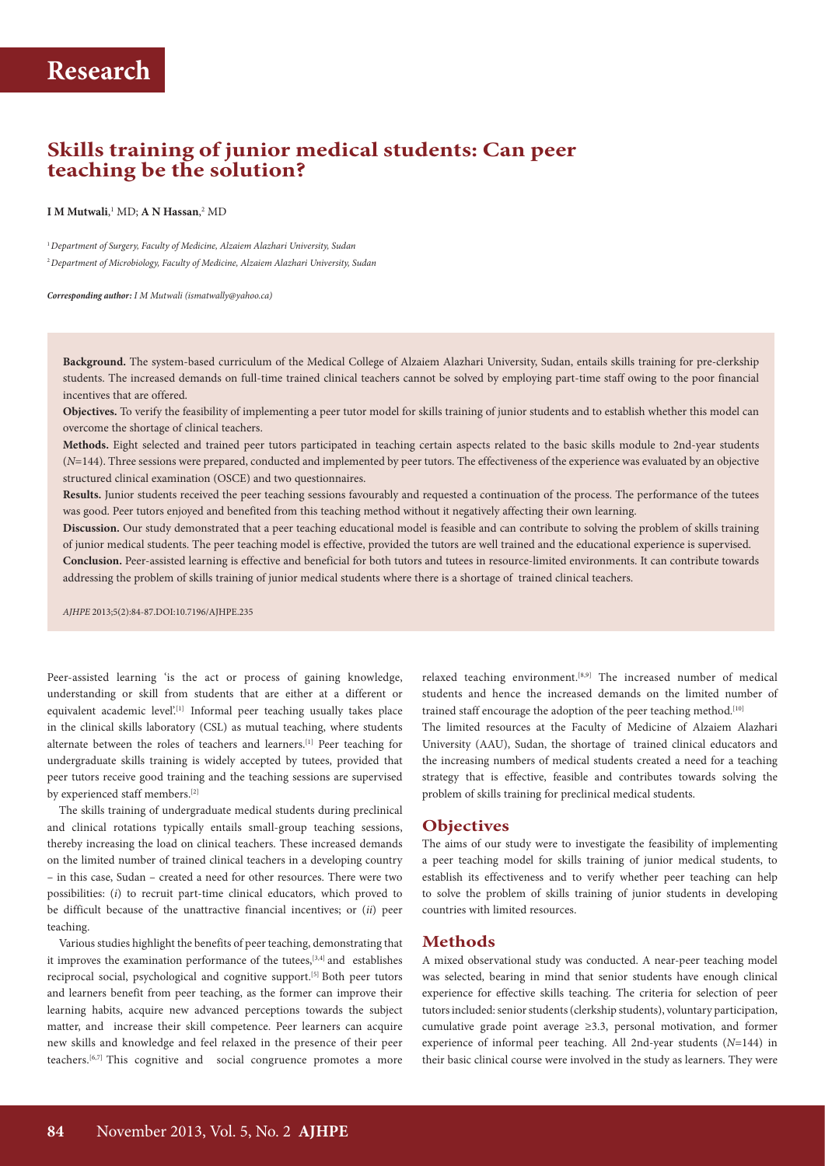## **Skills training of junior medical students: Can peer teaching be the solution?**

#### **I** M Mutwali,<sup>1</sup> MD; **A N Hassan**,<sup>2</sup> MD

<sup>1</sup>*Department of Surgery, Faculty of Medicine, Alzaiem Alazhari University, Sudan* <sup>2</sup>*Department of Microbiology, Faculty of Medicine, Alzaiem Alazhari University, Sudan*

*Corresponding author: I M Mutwali ([ismatwally@yahoo.ca\)](mailto:ismatwally@yahoo.ca)*

**Background.** The system-based curriculum of the Medical College of Alzaiem Alazhari University, Sudan, entails skills training for pre-clerkship students. The increased demands on full-time trained clinical teachers cannot be solved by employing part-time staff owing to the poor financial incentives that are offered.

**Objectives.** To verify the feasibility of implementing a peer tutor model for skills training of junior students and to establish whether this model can overcome the shortage of clinical teachers.

**Methods.** Eight selected and trained peer tutors participated in teaching certain aspects related to the basic skills module to 2nd-year students (*N*=144). Three sessions were prepared, conducted and implemented by peer tutors. The effectiveness of the experience was evaluated by an objective structured clinical examination (OSCE) and two questionnaires.

**Results.** Junior students received the peer teaching sessions favourably and requested a continuation of the process. The performance of the tutees was good. Peer tutors enjoyed and benefited from this teaching method without it negatively affecting their own learning.

**Discussion.** Our study demonstrated that a peer teaching educational model is feasible and can contribute to solving the problem of skills training of junior medical students. The peer teaching model is effective, provided the tutors are well trained and the educational experience is supervised. **Conclusion.** Peer-assisted learning is effective and beneficial for both tutors and tutees in resource-limited environments. It can contribute towards addressing the problem of skills training of junior medical students where there is a shortage of trained clinical teachers.

*AJHPE* 2013;5(2):84-87.DOI:10.7196/AJHPE.235

Peer-assisted learning 'is the act or process of gaining knowledge, understanding or skill from students that are either at a different or equivalent academic level'.<sup>[1]</sup> Informal peer teaching usually takes place in the clinical skills laboratory (CSL) as mutual teaching, where students alternate between the roles of teachers and learners.[1] Peer teaching for undergraduate skills training is widely accepted by tutees, provided that peer tutors receive good training and the teaching sessions are supervised by experienced staff members.<sup>[2]</sup>

The skills training of undergraduate medical students during preclinical and clinical rotations typically entails small-group teaching sessions, thereby increasing the load on clinical teachers. These increased demands on the limited number of trained clinical teachers in a developing country – in this case, Sudan – created a need for other resources. There were two possibilities: (*i*) to recruit part-time clinical educators, which proved to be difficult because of the unattractive financial incentives; or (*ii*) peer teaching.

Various studies highlight the benefits of peer teaching, demonstrating that it improves the examination performance of the tutees,<sup>[3,4]</sup> and establishes reciprocal social, psychological and cognitive support.[5] Both peer tutors and learners benefit from peer teaching, as the former can improve their learning habits, acquire new advanced perceptions towards the subject matter, and increase their skill competence. Peer learners can acquire new skills and knowledge and feel relaxed in the presence of their peer teachers.[6,7] This cognitive and social congruence promotes a more relaxed teaching environment.<sup>[8,9]</sup> The increased number of medical students and hence the increased demands on the limited number of trained staff encourage the adoption of the peer teaching method.<sup>[10]</sup>

The limited resources at the Faculty of Medicine of Alzaiem Alazhari University (AAU), Sudan, the shortage of trained clinical educators and the increasing numbers of medical students created a need for a teaching strategy that is effective, feasible and contributes towards solving the problem of skills training for preclinical medical students.

### **Objectives**

The aims of our study were to investigate the feasibility of implementing a peer teaching model for skills training of junior medical students, to establish its effectiveness and to verify whether peer teaching can help to solve the problem of skills training of junior students in developing countries with limited resources.

### **Methods**

A mixed observational study was conducted. A near-peer teaching model was selected, bearing in mind that senior students have enough clinical experience for effective skills teaching. The criteria for selection of peer tutors included: senior students (clerkship students), voluntary participation, cumulative grade point average ≥3.3, personal motivation, and former experience of informal peer teaching. All 2nd-year students (*N*=144) in their basic clinical course were involved in the study as learners. They were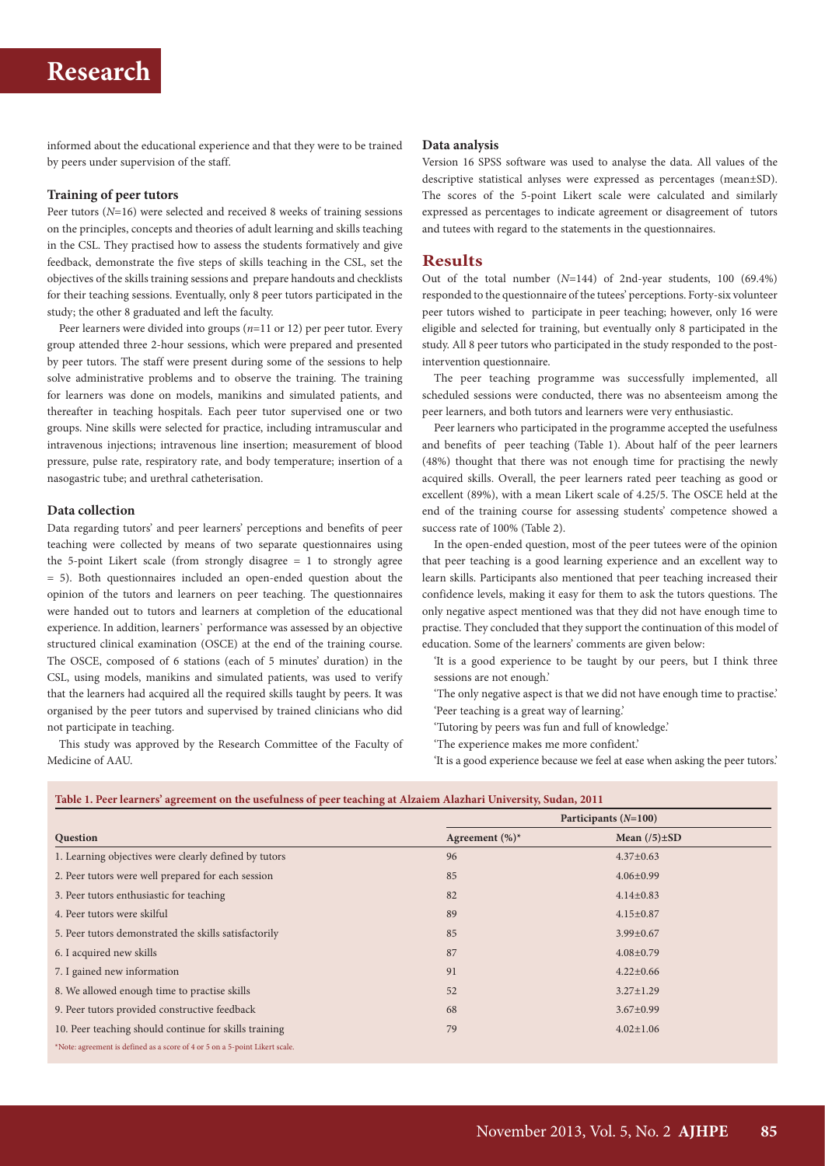# **Research**

informed about the educational experience and that they were to be trained by peers under supervision of the staff.

#### **Training of peer tutors**

Peer tutors (*N*=16) were selected and received 8 weeks of training sessions on the principles, concepts and theories of adult learning and skills teaching in the CSL. They practised how to assess the students formatively and give feedback, demonstrate the five steps of skills teaching in the CSL, set the objectives of the skills training sessions and prepare handouts and checklists for their teaching sessions. Eventually, only 8 peer tutors participated in the study; the other 8 graduated and left the faculty.

Peer learners were divided into groups (*n*=11 or 12) per peer tutor. Every group attended three 2-hour sessions, which were prepared and presented by peer tutors. The staff were present during some of the sessions to help solve administrative problems and to observe the training. The training for learners was done on models, manikins and simulated patients, and thereafter in teaching hospitals. Each peer tutor supervised one or two groups. Nine skills were selected for practice, including intramuscular and intravenous injections; intravenous line insertion; measurement of blood pressure, pulse rate, respiratory rate, and body temperature; insertion of a nasogastric tube; and urethral catheterisation.

#### **Data collection**

Data regarding tutors' and peer learners' perceptions and benefits of peer teaching were collected by means of two separate questionnaires using the 5-point Likert scale (from strongly disagree = 1 to strongly agree = 5). Both questionnaires included an open-ended question about the opinion of the tutors and learners on peer teaching. The questionnaires were handed out to tutors and learners at completion of the educational experience. In addition, learners` performance was assessed by an objective structured clinical examination (OSCE) at the end of the training course. The OSCE, composed of 6 stations (each of 5 minutes' duration) in the CSL, using models, manikins and simulated patients, was used to verify that the learners had acquired all the required skills taught by peers. It was organised by the peer tutors and supervised by trained clinicians who did not participate in teaching.

This study was approved by the Research Committee of the Faculty of Medicine of AAU.

#### **Data analysis**

Version 16 SPSS software was used to analyse the data. All values of the descriptive statistical anlyses were expressed as percentages (mean±SD). The scores of the 5-point Likert scale were calculated and similarly expressed as percentages to indicate agreement or disagreement of tutors and tutees with regard to the statements in the questionnaires.

### **Results**

Out of the total number (*N*=144) of 2nd-year students, 100 (69.4%) responded to the questionnaire of the tutees' perceptions. Forty-six volunteer peer tutors wished to participate in peer teaching; however, only 16 were eligible and selected for training, but eventually only 8 participated in the study. All 8 peer tutors who participated in the study responded to the postintervention questionnaire.

The peer teaching programme was successfully implemented, all scheduled sessions were conducted, there was no absenteeism among the peer learners, and both tutors and learners were very enthusiastic.

Peer learners who participated in the programme accepted the usefulness and benefits of peer teaching (Table 1). About half of the peer learners (48%) thought that there was not enough time for practising the newly acquired skills. Overall, the peer learners rated peer teaching as good or excellent (89%), with a mean Likert scale of 4.25/5. The OSCE held at the end of the training course for assessing students' competence showed a success rate of 100% (Table 2).

In the open-ended question, most of the peer tutees were of the opinion that peer teaching is a good learning experience and an excellent way to learn skills. Participants also mentioned that peer teaching increased their confidence levels, making it easy for them to ask the tutors questions. The only negative aspect mentioned was that they did not have enough time to practise. They concluded that they support the continuation of this model of education. Some of the learners' comments are given below:

'It is a good experience to be taught by our peers, but I think three sessions are not enough.'

'The only negative aspect is that we did not have enough time to practise.' 'Peer teaching is a great way of learning.'

'Tutoring by peers was fun and full of knowledge.'

'The experience makes me more confident.'

'It is a good experience because we feel at ease when asking the peer tutors.'

| Table 1. Peer learners' agreement on the usefulness of peer teaching at Alzaiem Alazhari University, Sudan, 2011 |  |  |
|------------------------------------------------------------------------------------------------------------------|--|--|
|                                                                                                                  |  |  |

|                                                                             | Participants $(N=100)$ |                    |  |
|-----------------------------------------------------------------------------|------------------------|--------------------|--|
| Question                                                                    | Agreement $(\%)^*$     | Mean $(75) \pm SD$ |  |
| 1. Learning objectives were clearly defined by tutors                       | 96                     | $4.37 \pm 0.63$    |  |
| 2. Peer tutors were well prepared for each session                          | 85                     | $4.06 \pm 0.99$    |  |
| 3. Peer tutors enthusiastic for teaching                                    | 82                     | $4.14 \pm 0.83$    |  |
| 4. Peer tutors were skilful                                                 | 89                     | $4.15 \pm 0.87$    |  |
| 5. Peer tutors demonstrated the skills satisfactorily                       | 85                     | $3.99 \pm 0.67$    |  |
| 6. I acquired new skills                                                    | 87                     | $4.08 \pm 0.79$    |  |
| 7. I gained new information                                                 | 91                     | $4.22 \pm 0.66$    |  |
| 8. We allowed enough time to practise skills                                | 52                     | $3.27 \pm 1.29$    |  |
| 9. Peer tutors provided constructive feedback                               | 68                     | $3.67 \pm 0.99$    |  |
| 10. Peer teaching should continue for skills training                       | 79                     | $4.02 \pm 1.06$    |  |
| *Note: agreement is defined as a score of 4 or 5 on a 5-point Likert scale. |                        |                    |  |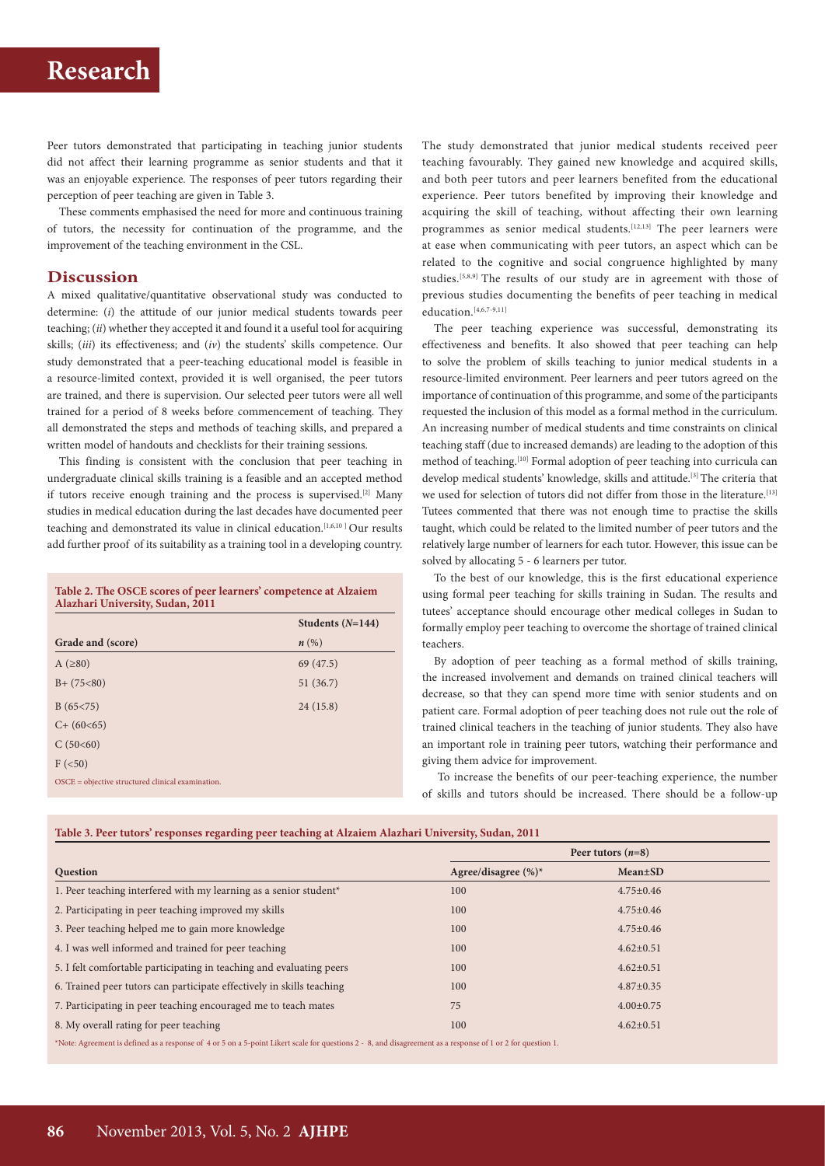# **Research**

Peer tutors demonstrated that participating in teaching junior students did not affect their learning programme as senior students and that it was an enjoyable experience. The responses of peer tutors regarding their perception of peer teaching are given in Table 3.

These comments emphasised the need for more and continuous training of tutors, the necessity for continuation of the programme, and the improvement of the teaching environment in the CSL.

#### **Discussion**

A mixed qualitative/quantitative observational study was conducted to determine: (*i*) the attitude of our junior medical students towards peer teaching; (*ii*) whether they accepted it and found it a useful tool for acquiring skills; (*iii*) its effectiveness; and (*iv*) the students' skills competence. Our study demonstrated that a peer-teaching educational model is feasible in a resource-limited context, provided it is well organised, the peer tutors are trained, and there is supervision. Our selected peer tutors were all well trained for a period of 8 weeks before commencement of teaching. They all demonstrated the steps and methods of teaching skills, and prepared a written model of handouts and checklists for their training sessions.

This finding is consistent with the conclusion that peer teaching in undergraduate clinical skills training is a feasible and an accepted method if tutors receive enough training and the process is supervised.[2] Many studies in medical education during the last decades have documented peer teaching and demonstrated its value in clinical education.[1,6,10 ] Our results add further proof of its suitability as a training tool in a developing country.

| Table 2. The OSCE scores of peer learners' competence at Alzaiem |  |
|------------------------------------------------------------------|--|
| Alazhari University, Sudan, 2011                                 |  |

|                                                   | Students $(N=144)$ |
|---------------------------------------------------|--------------------|
| Grade and (score)                                 | $n\left(\%\right)$ |
| $A$ ( $\geq 80$ )                                 | 69(47.5)           |
| $B+ (75<80)$                                      | 51(36.7)           |
| B(65<75)                                          | 24(15.8)           |
| $C+ (60<65)$                                      |                    |
| C(50<60)                                          |                    |
| $F \left( 50 \right)$                             |                    |
| OSCE = objective structured clinical examination. |                    |

The study demonstrated that junior medical students received peer teaching favourably. They gained new knowledge and acquired skills, and both peer tutors and peer learners benefited from the educational experience. Peer tutors benefited by improving their knowledge and acquiring the skill of teaching, without affecting their own learning programmes as senior medical students.<sup>[12,13]</sup> The peer learners were at ease when communicating with peer tutors, an aspect which can be related to the cognitive and social congruence highlighted by many studies.[5,8,9] The results of our study are in agreement with those of previous studies documenting the benefits of peer teaching in medical education.<sup>[4,6,7-9,11]</sup>

The peer teaching experience was successful, demonstrating its effectiveness and benefits. It also showed that peer teaching can help to solve the problem of skills teaching to junior medical students in a resource-limited environment. Peer learners and peer tutors agreed on the importance of continuation of this programme, and some of the participants requested the inclusion of this model as a formal method in the curriculum. An increasing number of medical students and time constraints on clinical teaching staff (due to increased demands) are leading to the adoption of this method of teaching.<sup>[10]</sup> Formal adoption of peer teaching into curricula can develop medical students' knowledge, skills and attitude.<sup>[3]</sup> The criteria that we used for selection of tutors did not differ from those in the literature.<sup>[13]</sup> Tutees commented that there was not enough time to practise the skills taught, which could be related to the limited number of peer tutors and the relatively large number of learners for each tutor. However, this issue can be solved by allocating 5 - 6 learners per tutor.

To the best of our knowledge, this is the first educational experience using formal peer teaching for skills training in Sudan. The results and tutees' acceptance should encourage other medical colleges in Sudan to formally employ peer teaching to overcome the shortage of trained clinical teachers.

By adoption of peer teaching as a formal method of skills training, the increased involvement and demands on trained clinical teachers will decrease, so that they can spend more time with senior students and on patient care. Formal adoption of peer teaching does not rule out the role of trained clinical teachers in the teaching of junior students. They also have an important role in training peer tutors, watching their performance and giving them advice for improvement.

 To increase the benefits of our peer-teaching experience, the number of skills and tutors should be increased. There should be a follow-up

|  |  |  | Table 3. Peer tutors' responses regarding peer teaching at Alzaiem Alazhari University, Sudan, 2011 |
|--|--|--|-----------------------------------------------------------------------------------------------------|
|--|--|--|-----------------------------------------------------------------------------------------------------|

|                                                                       | Peer tutors $(n=8)$     |                 |  |
|-----------------------------------------------------------------------|-------------------------|-----------------|--|
| <b>Question</b>                                                       | Agree/disagree $(\%)^*$ | $Mean \pm SD$   |  |
| 1. Peer teaching interfered with my learning as a senior student*     | 100                     | $4.75 \pm 0.46$ |  |
| 2. Participating in peer teaching improved my skills                  | 100                     | $4.75 \pm 0.46$ |  |
| 3. Peer teaching helped me to gain more knowledge                     | 100                     | $4.75 \pm 0.46$ |  |
| 4. I was well informed and trained for peer teaching                  | 100                     | $4.62 \pm 0.51$ |  |
| 5. I felt comfortable participating in teaching and evaluating peers  | 100                     | $4.62 \pm 0.51$ |  |
| 6. Trained peer tutors can participate effectively in skills teaching | 100                     | $4.87 \pm 0.35$ |  |
| 7. Participating in peer teaching encouraged me to teach mates        | 75                      | $4.00 \pm 0.75$ |  |
| 8. My overall rating for peer teaching                                | 100                     | $4.62 \pm 0.51$ |  |
|                                                                       |                         |                 |  |

ote: Agreement is defined as a response of 4 or 5 on a 5-point Likert scale for questions 2 - 8, and disagreement as a response of 1 or 2 for question 1.